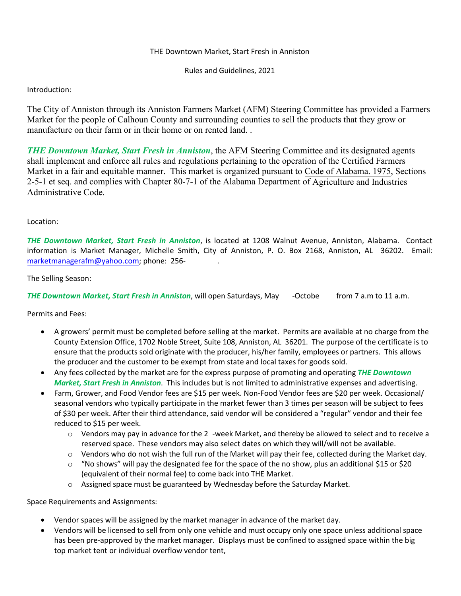## THE Downtown Market, Start Fresh in Anniston

Rules and Guidelines, 2021

## Introduction:

The City of Anniston through its Anniston Farmers Market (AFM) Steering Committee has provided a Farmers Market for the people of Calhoun County and surrounding counties to sell the products that they grow or manufacture on their farm or in their home or on rented land. .

*THE Downtown Market, Start Fresh in Anniston*, the AFM Steering Committee and its designated agents shall implement and enforce all rules and regulations pertaining to the operation of the Certified Farmers Market in a fair and equitable manner. This market is organized pursuant to Code of Alabama. 1975, Sections 2-5-1 et seq. and complies with Chapter 80-7-1 of the Alabama Department of Agriculture and Industries  $\Box$ Administrative Code.

## Location:

*THE Downtown Market, Start Fresh in Anniston*, is located at 1208 Walnut Avenue, Anniston, Alabama. Contact information is Market Manager, Michelle Smith, City of Anniston, P. O. Box 2168, Anniston, AL 36202. Email: marketmanagerafm@yahoo.com; phone: 256-343-6560.

## The Selling Season:

*THE Downtown Market, Start Fresh in Anniston*, will open Saturdays, May 7th-October 1st from 7 a.m to 11 a.m.

Permits and Fees:

- A growers' permit must be completed before selling at the market. Permits are available at no charge from the County Extension Office, 1702 Noble Street, Suite 108, Anniston, AL 36201. The purpose of the certificate is to ensure that the products sold originate with the producer, his/her family, employees or partners. This allows the producer and the customer to be exempt from state and local taxes for goods sold.
- Any fees collected by the market are for the express purpose of promoting and operating *THE Downtown Market, Start Fresh in Anniston*. This includes but is not limited to administrative expenses and advertising.
- Farm, Grower, and Food Vendor fees are \$15 per week. Non-Food Vendor fees are \$20 per week. Occasional/ seasonal vendors who typically participate in the market fewer than 3 times per season will be subject to fees of \$30 per week. After their third attendance, said vendor will be considered a "regular" vendor and their fee reduced to \$15 per week.
	- $\circ$  Vendors may pay in advance for the 24-week Market, and thereby be allowed to select and to receive a reserved space. These vendors may also select dates on which they will/will not be available.
	- o Vendors who do not wish the full run of the Market will pay their fee, collected during the Market day.
	- $\circ$  "No shows" will pay the designated fee for the space of the no show, plus an additional \$15 or \$20 (equivalent of their normal fee) to come back into THE Market.
	- $\circ$  Assigned space must be guaranteed by Wednesday before the Saturday Market.

Space Requirements and Assignments:

- Vendor spaces will be assigned by the market manager in advance of the market day.
- Vendors will be licensed to sell from only one vehicle and must occupy only one space unless additional space has been pre-approved by the market manager. Displays must be confined to assigned space within the big top market tent or individual overflow vendor tent,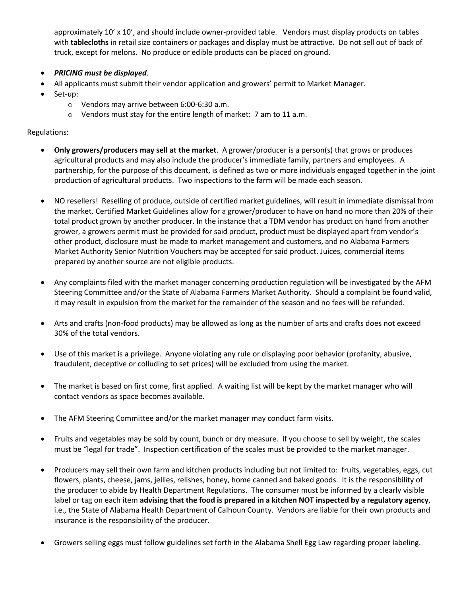approximately 10' x 10', and should include owner-provided table. Vendors must display products on tables with **tablecloths** in retail size containers or packages and display must be attractive. Do not sell out of back of truck, except for melons. No produce or edible products can be placed on ground.

- *PRICING must be displayed*.
- All applicants must submit their vendor application and growers' permit to Market Manager.
- Set-up:
	- o Vendors may arrive between 6:00-6:30 a.m.
	- o Vendors must stay for the entire length of market: 7 am to 11 a.m.

Regulations:

- **Only growers/producers may sell at the market**. A grower/producer is a person(s) that grows or produces agricultural products and may also include the producer's immediate family, partners and employees. A partnership, for the purpose of this document, is defined as two or more individuals engaged together in the joint production of agricultural products. Two inspections to the farm will be made each season.
- NO resellers! Reselling of produce, outside of certified market guidelines, will result in immediate dismissal from the market. Certified Market Guidelines allow for a grower/producer to have on hand no more than 20% of their total product grown by another producer. In the instance that a TDM vendor has product on hand from another grower, a growers permit must be provided for said product, product must be displayed apart from vendor's other product, disclosure must be made to market management and customers, and no Alabama Farmers Market Authority Senior Nutrition Vouchers may be accepted for said product. Juices, commercial items prepared by another source are not eligible products.
- Any complaints filed with the market manager concerning production regulation will be investigated by the AFM Steering Committee and/or the State of Alabama Farmers Market Authority. Should a complaint be found valid, it may result in expulsion from the market for the remainder of the season and no fees will be refunded.
- Arts and crafts (non-food products) may be allowed as long as the number of arts and crafts does not exceed 30% of the total vendors.
- Use of this market is a privilege. Anyone violating any rule or displaying poor behavior (profanity, abusive, fraudulent, deceptive or colluding to set prices) will be excluded from using the market.
- The market is based on first come, first applied. A waiting list will be kept by the market manager who will contact vendors as space becomes available.
- The AFM Steering Committee and/or the market manager may conduct farm visits.
- Fruits and vegetables may be sold by count, bunch or dry measure. If you choose to sell by weight, the scales must be "legal for trade". Inspection certification of the scales must be provided to the market manager.
- Producers may sell their own farm and kitchen products including but not limited to: fruits, vegetables, eggs, cut flowers, plants, cheese, jams, jellies, relishes, honey, home canned and baked goods. It is the responsibility of the producer to abide by Health Department Regulations. The consumer must be informed by a clearly visible label or tag on each item **advising that the food is prepared in a kitchen NOT inspected by a regulatory agency**, i.e., the State of Alabama Health Department of Calhoun County. Vendors are liable for their own products and insurance is the responsibility of the producer.
- Growers selling eggs must follow guidelines set forth in the Alabama Shell Egg Law regarding proper labeling.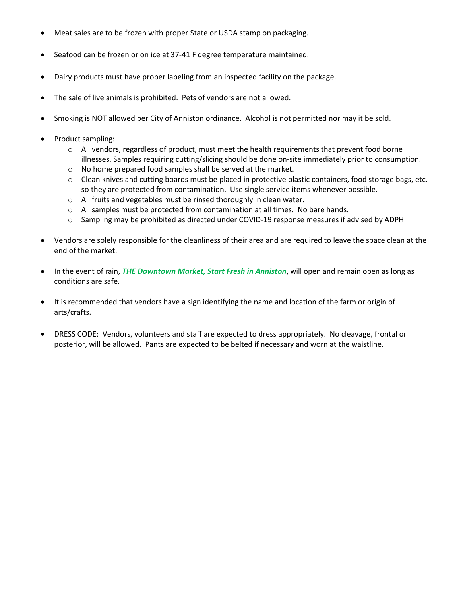- Meat sales are to be frozen with proper State or USDA stamp on packaging.
- Seafood can be frozen or on ice at 37-41 F degree temperature maintained.
- Dairy products must have proper labeling from an inspected facility on the package.
- The sale of live animals is prohibited. Pets of vendors are not allowed.
- Smoking is NOT allowed per City of Anniston ordinance. Alcohol is not permitted nor may it be sold.
- Product sampling:
	- $\circ$  All vendors, regardless of product, must meet the health requirements that prevent food borne illnesses. Samples requiring cutting/slicing should be done on-site immediately prior to consumption.
	- o No home prepared food samples shall be served at the market.
	- $\circ$  Clean knives and cutting boards must be placed in protective plastic containers, food storage bags, etc. so they are protected from contamination. Use single service items whenever possible.
	- o All fruits and vegetables must be rinsed thoroughly in clean water.
	- o All samples must be protected from contamination at all times. No bare hands.
	- o Sampling may be prohibited as directed under COVID-19 response measures if advised by ADPH
- Vendors are solely responsible for the cleanliness of their area and are required to leave the space clean at the end of the market.
- In the event of rain, *THE Downtown Market, Start Fresh in Anniston*, will open and remain open as long as conditions are safe.
- It is recommended that vendors have a sign identifying the name and location of the farm or origin of arts/crafts.
- DRESS CODE: Vendors, volunteers and staff are expected to dress appropriately. No cleavage, frontal or posterior, will be allowed. Pants are expected to be belted if necessary and worn at the waistline.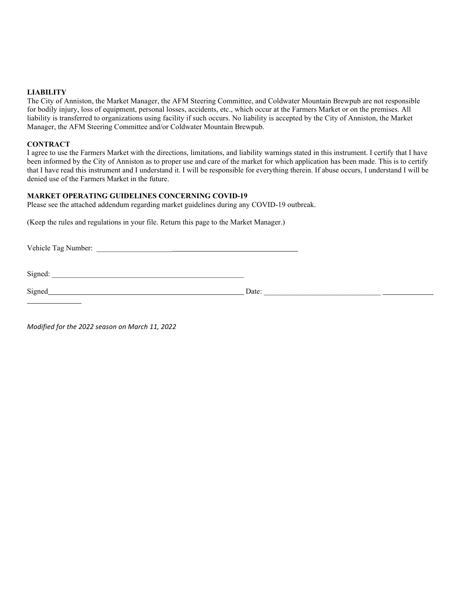#### **LIABILITY**

The City of Anniston, the Market Manager, the AFM Steering Committee, and Coldwater Mountain Brewpub are not responsible for bodily injury, loss of equipment, personal losses, accidents, etc., which occur at the Farmers Market or on the premises. All liability is transferred to organizations using facility if such occurs. No liability is accepted by the City of Anniston, the Market Manager, the AFM Steering Committee and/or Coldwater Mountain Brewpub.

#### **CONTRACT**

I agree to use the Farmers Market with the directions, limitations, and liability warnings stated in this instrument. I certify that I have been informed by the City of Anniston as to proper use and care of the market for which application has been made. This is to certify that I have read this instrument and I understand it. I will be responsible for everything therein. If abuse occurs, I understand I will be denied use of the Farmers Market in the future.

### **MARKET OPERATING GUIDELINES CONCERNING COVID-19**

Please see the attached addendum regarding market guidelines during any COVID-19 outbreak.

(Keep the rules and regulations in your file. Return this page to the Market Manager.)

Vehicle Tag Number: \_\_\_\_\_\_\_\_\_\_\_\_\_\_\_\_\_\_\_\_

 $Signed:$ 

Signed Date:

*Modified for the 2022 season on March 11, 2022*